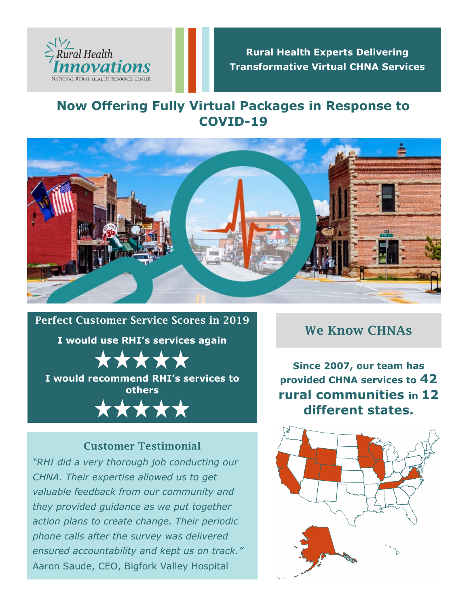

## **Rural Health Experts Delivering Transformative Virtual CHNA Services**

# **Now Offering Fully Virtual Packages in Response to COVID-19**



Perfect Customer Service Scores in 2019 **I would use RHI's services again** \*\*\*\* **I would recommend RHI's services to others**\*\*\*\*\*

# Customer Testimonial

*"RHI did a very thorough job conducting our CHNA. Their expertise allowed us to get valuable feedback from our community and they provided guidance as we put together action plans to create change. Their periodic phone calls after the survey was delivered ensured accountability and kept us on track."*  Aaron Saude, CEO, Bigfork Valley Hospital

#### We Know CHNAs

**Since 2007, our team has provided CHNA services to 42 rural communities in 12 different states.**